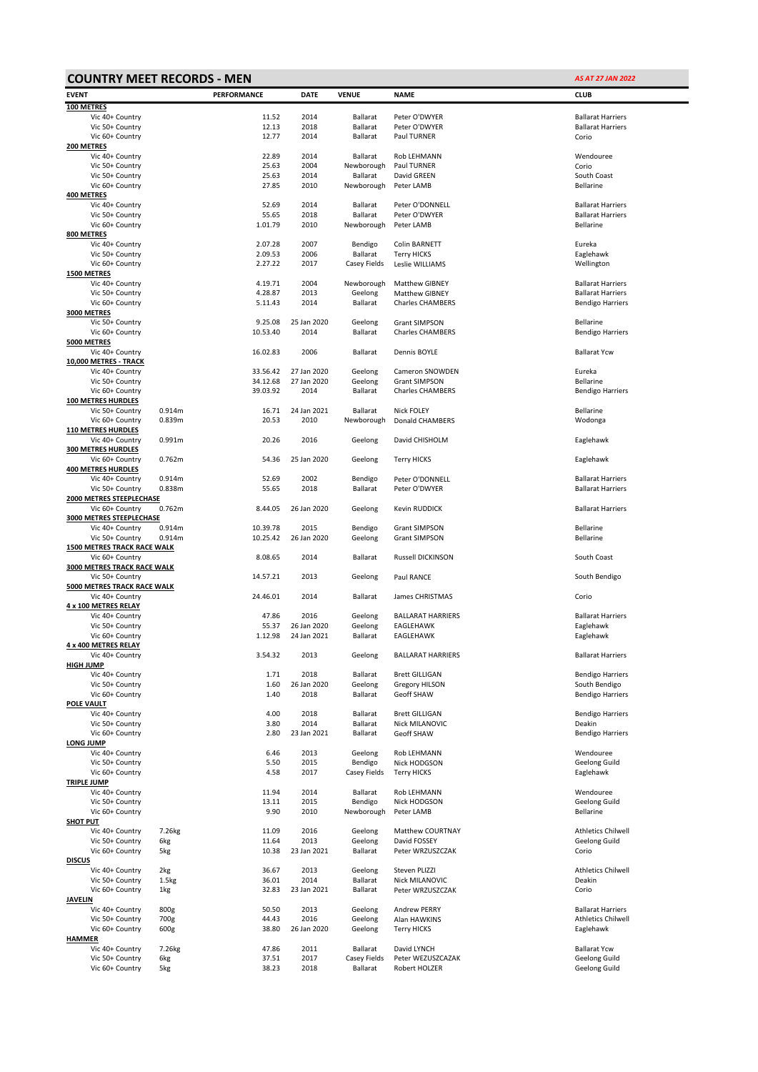| <b>COUNTRY MEET RECORDS - MEN</b><br><b>AS AT 27 JAN 2022</b> |                  |                      |                     |                          |                                              |                                                       |  |  |  |
|---------------------------------------------------------------|------------------|----------------------|---------------------|--------------------------|----------------------------------------------|-------------------------------------------------------|--|--|--|
| <b>EVENT</b>                                                  |                  | PERFORMANCE          | <b>DATE</b>         | <b>VENUE</b>             | <b>NAME</b>                                  | <b>CLUB</b>                                           |  |  |  |
| 100 METRES                                                    |                  |                      |                     |                          |                                              |                                                       |  |  |  |
| Vic 40+ Country                                               |                  | 11.52                | 2014                | <b>Ballarat</b>          | Peter O'DWYER                                | <b>Ballarat Harriers</b>                              |  |  |  |
| Vic 50+ Country                                               |                  | 12.13                | 2018                | <b>Ballarat</b>          | Peter O'DWYER                                | <b>Ballarat Harriers</b>                              |  |  |  |
| Vic 60+ Country<br>200 METRES                                 |                  | 12.77                | 2014                | Ballarat                 | Paul TURNER                                  | Corio                                                 |  |  |  |
| Vic 40+ Country                                               |                  | 22.89                | 2014                | Ballarat                 | Rob LEHMANN                                  | Wendouree                                             |  |  |  |
| Vic 50+ Country                                               |                  | 25.63                | 2004                | Newborough               | Paul TURNER                                  | Corio                                                 |  |  |  |
| Vic 50+ Country                                               |                  | 25.63                | 2014                | Ballarat                 | David GREEN                                  | South Coast                                           |  |  |  |
| Vic 60+ Country                                               |                  | 27.85                | 2010                | Newborough               | Peter LAMB                                   | Bellarine                                             |  |  |  |
| 400 METRES<br>Vic 40+ Country                                 |                  | 52.69                | 2014                | <b>Ballarat</b>          | Peter O'DONNELL                              | <b>Ballarat Harriers</b>                              |  |  |  |
| Vic 50+ Country                                               |                  | 55.65                | 2018                | Ballarat                 | Peter O'DWYER                                | <b>Ballarat Harriers</b>                              |  |  |  |
| Vic 60+ Country                                               |                  | 1.01.79              | 2010                | Newborough               | Peter LAMB                                   | Bellarine                                             |  |  |  |
| 800 METRES                                                    |                  |                      |                     |                          |                                              |                                                       |  |  |  |
| Vic 40+ Country                                               |                  | 2.07.28<br>2.09.53   | 2007<br>2006        | Bendigo                  | Colin BARNETT                                | Eureka                                                |  |  |  |
| Vic 50+ Country<br>Vic 60+ Country                            |                  | 2.27.22              | 2017                | Ballarat<br>Casey Fields | <b>Terry HICKS</b><br>Leslie WILLIAMS        | Eaglehawk<br>Wellington                               |  |  |  |
| <b>1500 METRES</b>                                            |                  |                      |                     |                          |                                              |                                                       |  |  |  |
| Vic 40+ Country                                               |                  | 4.19.71              | 2004                | Newborough               | <b>Matthew GIBNEY</b>                        | <b>Ballarat Harriers</b>                              |  |  |  |
| Vic 50+ Country                                               |                  | 4.28.87              | 2013                | Geelong                  | Matthew GIBNEY                               | <b>Ballarat Harriers</b>                              |  |  |  |
| Vic 60+ Country<br>3000 METRES                                |                  | 5.11.43              | 2014                | Ballarat                 | <b>Charles CHAMBERS</b>                      | <b>Bendigo Harriers</b>                               |  |  |  |
| Vic 50+ Country                                               |                  | 9.25.08              | 25 Jan 2020         | Geelong                  | <b>Grant SIMPSON</b>                         | Bellarine                                             |  |  |  |
| Vic 60+ Country                                               |                  | 10.53.40             | 2014                | Ballarat                 | <b>Charles CHAMBERS</b>                      | <b>Bendigo Harriers</b>                               |  |  |  |
| 5000 METRES                                                   |                  |                      |                     |                          |                                              |                                                       |  |  |  |
| Vic 40+ Country                                               |                  | 16.02.83             | 2006                | Ballarat                 | Dennis BOYLE                                 | <b>Ballarat Ycw</b>                                   |  |  |  |
| 10,000 METRES - TRACK<br>Vic 40+ Country                      |                  | 33.56.42             | 27 Jan 2020         | Geelong                  | Cameron SNOWDEN                              | Eureka                                                |  |  |  |
| Vic 50+ Country                                               |                  | 34.12.68             | 27 Jan 2020         | Geelong                  | <b>Grant SIMPSON</b>                         | Bellarine                                             |  |  |  |
| Vic 60+ Country                                               |                  | 39.03.92             | 2014                | Ballarat                 | <b>Charles CHAMBERS</b>                      | <b>Bendigo Harriers</b>                               |  |  |  |
| <b>100 METRES HURDLES</b>                                     |                  |                      |                     |                          |                                              |                                                       |  |  |  |
| Vic 50+ Country                                               | 0.914m<br>0.839m | 16.71<br>20.53       | 24 Jan 2021<br>2010 | Ballarat<br>Newborough   | Nick FOLEY<br>Donald CHAMBERS                | Bellarine<br>Wodonga                                  |  |  |  |
| Vic 60+ Country<br><b>110 METRES HURDLES</b>                  |                  |                      |                     |                          |                                              |                                                       |  |  |  |
| Vic 40+ Country                                               | 0.991m           | 20.26                | 2016                | Geelong                  | David CHISHOLM                               | Eaglehawk                                             |  |  |  |
| <b>300 METRES HURDLES</b>                                     |                  |                      |                     |                          |                                              |                                                       |  |  |  |
| Vic 60+ Country                                               | 0.762m           | 54.36                | 25 Jan 2020         | Geelong                  | Terry HICKS                                  | Eaglehawk                                             |  |  |  |
| <b>400 METRES HURDLES</b>                                     | 0.914m           | 52.69                | 2002                |                          |                                              | <b>Ballarat Harriers</b>                              |  |  |  |
| Vic 40+ Country<br>Vic 50+ Country                            | 0.838m           | 55.65                | 2018                | Bendigo<br>Ballarat      | Peter O'DONNELL<br>Peter O'DWYER             | <b>Ballarat Harriers</b>                              |  |  |  |
| 2000 METRES STEEPLECHASE                                      |                  |                      |                     |                          |                                              |                                                       |  |  |  |
| Vic 60+ Country                                               | 0.762m           | 8.44.05              | 26 Jan 2020         | Geelong                  | Kevin RUDDICK                                | <b>Ballarat Harriers</b>                              |  |  |  |
| 3000 METRES STEEPLECHASE                                      |                  |                      |                     |                          |                                              |                                                       |  |  |  |
| Vic 40+ Country<br>Vic 50+ Country                            | 0.914m<br>0.914m | 10.39.78<br>10.25.42 | 2015<br>26 Jan 2020 | Bendigo<br>Geelong       | <b>Grant SIMPSON</b><br><b>Grant SIMPSON</b> | Bellarine<br>Bellarine                                |  |  |  |
| <b>1500 METRES TRACK RACE WALK</b>                            |                  |                      |                     |                          |                                              |                                                       |  |  |  |
| Vic 60+ Country                                               |                  | 8.08.65              | 2014                | Ballarat                 | Russell DICKINSON                            | South Coast                                           |  |  |  |
| 3000 METRES TRACK RACE WALK                                   |                  |                      |                     |                          |                                              |                                                       |  |  |  |
| Vic 50+ Country<br>5000 METRES TRACK RACE WALK                |                  | 14.57.21             | 2013                | Geelong                  | Paul RANCE                                   | South Bendigo                                         |  |  |  |
| Vic 40+ Country                                               |                  | 24.46.01             | 2014                | Ballarat                 | James CHRISTMAS                              | Corio                                                 |  |  |  |
| 4 x 100 METRES RELAY                                          |                  |                      |                     |                          |                                              |                                                       |  |  |  |
| Vic 40+ Country                                               |                  | 47.86                | 2016                | Geelong                  | <b>BALLARAT HARRIERS</b>                     | <b>Ballarat Harriers</b>                              |  |  |  |
| Vic 50+ Country                                               |                  | 55.37                | 26 Jan 2020         | Geelong                  | EAGLEHAWK                                    | Eaglehawk                                             |  |  |  |
| Vic 60+ Country<br>4 x 400 METRES RELAY                       |                  | 1.12.98              | 24 Jan 2021         | Ballarat                 | EAGLEHAWK                                    | Eaglehawk                                             |  |  |  |
| Vic 40+ Country                                               |                  | 3.54.32              | 2013                | Geelong                  | <b>BALLARAT HARRIERS</b>                     | <b>Ballarat Harriers</b>                              |  |  |  |
| HIGH JUMP                                                     |                  |                      |                     |                          |                                              |                                                       |  |  |  |
| Vic 40+ Country                                               |                  | 1.71                 | 2018                | Ballarat                 | <b>Brett GILLIGAN</b>                        | <b>Bendigo Harriers</b>                               |  |  |  |
| Vic 50+ Country                                               |                  | 1.60                 | 26 Jan 2020         | Geelong                  | Gregory HILSON                               | South Bendigo                                         |  |  |  |
| Vic 60+ Country<br><b>POLE VAULT</b>                          |                  | 1.40                 | 2018                | Ballarat                 | Geoff SHAW                                   | <b>Bendigo Harriers</b>                               |  |  |  |
| Vic 40+ Country                                               |                  | 4.00                 | 2018                | Ballarat                 | <b>Brett GILLIGAN</b>                        | <b>Bendigo Harriers</b>                               |  |  |  |
| Vic 50+ Country                                               |                  | 3.80                 | 2014                | Ballarat                 | Nick MILANOVIC                               | Deakin                                                |  |  |  |
| Vic 60+ Country                                               |                  | 2.80                 | 23 Jan 2021         | Ballarat                 | Geoff SHAW                                   | <b>Bendigo Harriers</b>                               |  |  |  |
| LONG JUMP<br>Vic 40+ Country                                  |                  | 6.46                 | 2013                | Geelong                  | Rob LEHMANN                                  | Wendouree                                             |  |  |  |
| Vic 50+ Country                                               |                  | 5.50                 | 2015                | Bendigo                  | Nick HODGSON                                 | Geelong Guild                                         |  |  |  |
| Vic 60+ Country                                               |                  | 4.58                 | 2017                | Casey Fields             | <b>Terry HICKS</b>                           | Eaglehawk                                             |  |  |  |
| <b>TRIPLE JUMP</b>                                            |                  |                      |                     |                          |                                              |                                                       |  |  |  |
| Vic 40+ Country                                               |                  | 11.94                | 2014<br>2015        | Ballarat                 | Rob LEHMANN<br>Nick HODGSON                  | Wendouree                                             |  |  |  |
| Vic 50+ Country<br>Vic 60+ Country                            |                  | 13.11<br>9.90        | 2010                | Bendigo<br>Newborough    | Peter LAMB                                   | Geelong Guild<br>Bellarine                            |  |  |  |
| <b>SHOT PUT</b>                                               |                  |                      |                     |                          |                                              |                                                       |  |  |  |
| Vic 40+ Country                                               | 7.26kg           | 11.09                | 2016                | Geelong                  | Matthew COURTNAY                             | Athletics Chilwell                                    |  |  |  |
| Vic 50+ Country                                               | 6kg              | 11.64                | 2013                | Geelong                  | David FOSSEY                                 | Geelong Guild                                         |  |  |  |
| Vic 60+ Country<br>DISCUS                                     | 5kg              | 10.38                | 23 Jan 2021         | Ballarat                 | Peter WRZUSZCZAK                             | Corio                                                 |  |  |  |
| Vic 40+ Country                                               | 2kg              | 36.67                | 2013                | Geelong                  | Steven PLIZZI                                | <b>Athletics Chilwell</b>                             |  |  |  |
| Vic 50+ Country                                               | 1.5kg            | 36.01                | 2014                | Ballarat                 | Nick MILANOVIC                               | Deakin                                                |  |  |  |
| Vic 60+ Country                                               | 1kg              | 32.83                | 23 Jan 2021         | Ballarat                 | Peter WRZUSZCZAK                             | Corio                                                 |  |  |  |
| JAVELIN                                                       |                  |                      |                     |                          |                                              |                                                       |  |  |  |
| Vic 40+ Country<br>Vic 50+ Country                            | 800g<br>700g     | 50.50<br>44.43       | 2013<br>2016        | Geelong<br>Geelong       | <b>Andrew PERRY</b><br>Alan HAWKINS          | <b>Ballarat Harriers</b><br><b>Athletics Chilwell</b> |  |  |  |
| Vic 60+ Country                                               | 600g             | 38.80                | 26 Jan 2020         | Geelong                  | <b>Terry HICKS</b>                           | Eaglehawk                                             |  |  |  |
| HAMMER                                                        |                  |                      |                     |                          |                                              |                                                       |  |  |  |
| Vic 40+ Country                                               | 7.26kg           | 47.86                | 2011                | Ballarat                 | David LYNCH                                  | <b>Ballarat Ycw</b>                                   |  |  |  |
| Vic 50+ Country                                               | 6kg              | 37.51<br>38.23       | 2017<br>2018        | Casey Fields<br>Ballarat | Peter WEZUSZCAZAK                            | Geelong Guild                                         |  |  |  |
| Vic 60+ Country                                               | 5kg              |                      |                     |                          | Robert HOLZER                                | Geelong Guild                                         |  |  |  |